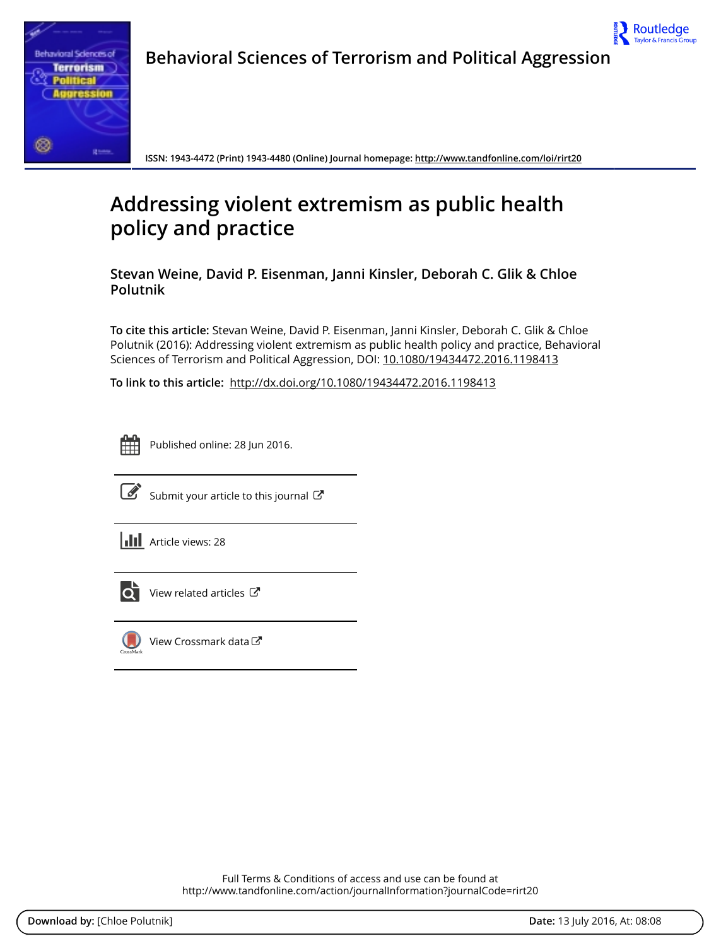

Behavioral Sciences of Terrorism and Political Aggression



ISSN: 1943-4472 (Print) 1943-4480 (Online) Journal homepage:<http://www.tandfonline.com/loi/rirt20>

# Addressing violent extremism as public health policy and practice

Stevan Weine, David P. Eisenman, Janni Kinsler, Deborah C. Glik & Chloe Polutnik

To cite this article: Stevan Weine, David P. Eisenman, Janni Kinsler, Deborah C. Glik & Chloe Polutnik (2016): Addressing violent extremism as public health policy and practice, Behavioral Sciences of Terrorism and Political Aggression, DOI: [10.1080/19434472.2016.1198413](http://www.tandfonline.com/action/showCitFormats?doi=10.1080/19434472.2016.1198413)

To link to this article: <http://dx.doi.org/10.1080/19434472.2016.1198413>



Published online: 28 Jun 2016.



 $\overline{\mathscr{L}}$  [Submit your article to this journal](http://www.tandfonline.com/action/authorSubmission?journalCode=rirt20&page=instructions)  $\mathbb{Z}$ 

**Article views: 28** 



View related articles



[View Crossmark data](http://crossmark.crossref.org/dialog/?doi=10.1080/19434472.2016.1198413&domain=pdf&date_stamp=2016-06-28) $G$ 

Full Terms & Conditions of access and use can be found at <http://www.tandfonline.com/action/journalInformation?journalCode=rirt20>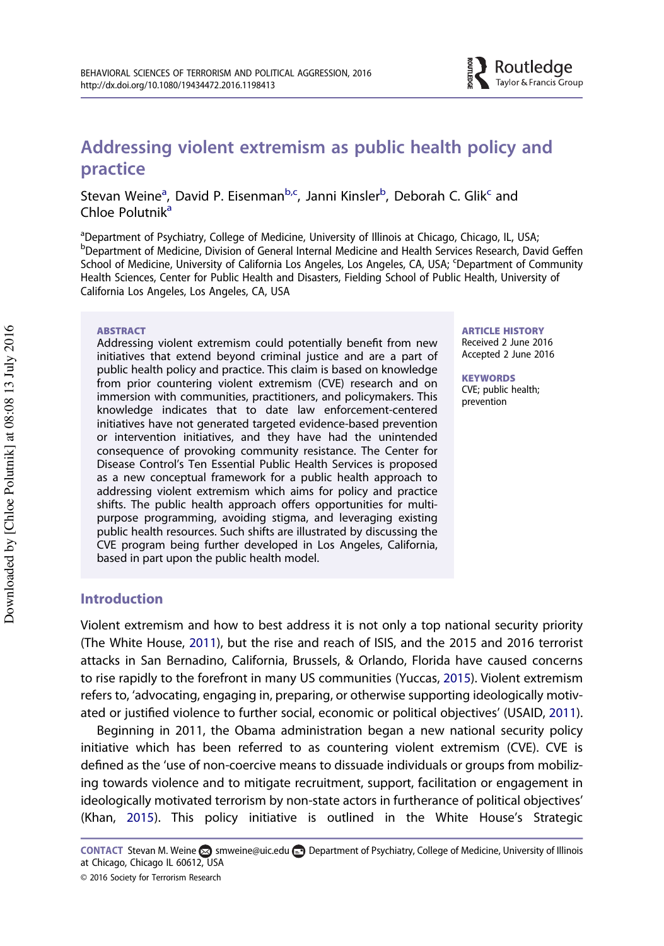# <span id="page-1-0"></span>Addressing violent extremism as public health policy and practice

Stevan Weine<sup>a</sup>, David P. Eisenman<sup>b,c</sup>, Janni Kinsler<sup>b</sup>, Deborah C. Glik<sup>c</sup> and Chloe Polutnik<sup>a</sup>

<sup>a</sup>Department of Psychiatry, College of Medicine, University of Illinois at Chicago, Chicago, IL, USA; b Department of Medicine, Division of General Internal Medicine and Health Services Research, David Geffen School of Medicine, University of California Los Angeles, Los Angeles, CA, USA; <sup>c</sup>Department of Community Health Sciences, Center for Public Health and Disasters, Fielding School of Public Health, University of California Los Angeles, Los Angeles, CA, USA

#### ABSTRACT

Addressing violent extremism could potentially benefit from new initiatives that extend beyond criminal justice and are a part of public health policy and practice. This claim is based on knowledge from prior countering violent extremism (CVE) research and on immersion with communities, practitioners, and policymakers. This knowledge indicates that to date law enforcement-centered initiatives have not generated targeted evidence-based prevention or intervention initiatives, and they have had the unintended consequence of provoking community resistance. The Center for Disease Control's Ten Essential Public Health Services is proposed as a new conceptual framework for a public health approach to addressing violent extremism which aims for policy and practice shifts. The public health approach offers opportunities for multipurpose programming, avoiding stigma, and leveraging existing public health resources. Such shifts are illustrated by discussing the CVE program being further developed in Los Angeles, California, based in part upon the public health model.

### Introduction

Violent extremism and how to best address it is not only a top national security priority (The White House, [2011](#page-14-0)), but the rise and reach of ISIS, and the 2015 and 2016 terrorist attacks in San Bernadino, California, Brussels, & Orlando, Florida have caused concerns to rise rapidly to the forefront in many US communities (Yuccas, [2015\)](#page-14-0). Violent extremism refers to, 'advocating, engaging in, preparing, or otherwise supporting ideologically motivated or justified violence to further social, economic or political objectives' (USAID, [2011](#page-13-0)).

Beginning in 2011, the Obama administration began a new national security policy initiative which has been referred to as countering violent extremism (CVE). CVE is defined as the 'use of non-coercive means to dissuade individuals or groups from mobilizing towards violence and to mitigate recruitment, support, facilitation or engagement in ideologically motivated terrorism by non-state actors in furtherance of political objectives' (Khan, [2015\)](#page-12-0). This policy initiative is outlined in the White House's Strategic

ARTICLE HISTORY Received 2 June 2016 Accepted 2 June 2016

Routledge Taylor & Francis Group

**KEYWORDS** CVE; public health; prevention

CONTACT Stevan M. Weine S [smweine@uic.edu](mailto:smweine@uic.edu) Department of Psychiatry, College of Medicine, University of Illinois at Chicago, Chicago IL 60612, USA

<sup>© 2016</sup> Society for Terrorism Research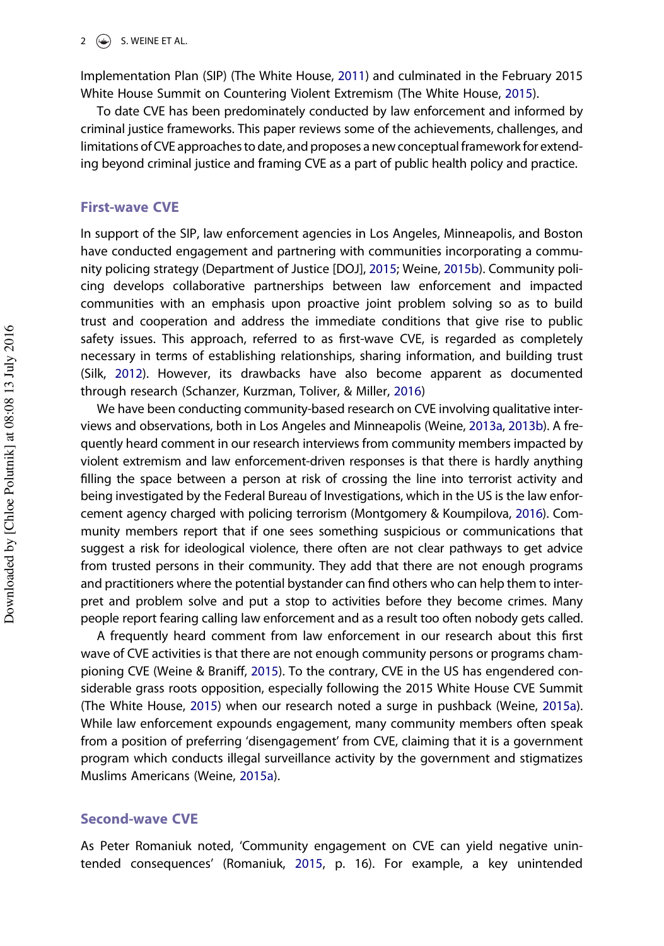<span id="page-2-0"></span>Implementation Plan (SIP) (The White House, [2011\)](#page-14-0) and culminated in the February 2015 White House Summit on Countering Violent Extremism (The White House, [2015\)](#page-14-0).

To date CVE has been predominately conducted by law enforcement and informed by criminal justice frameworks. This paper reviews some of the achievements, challenges, and limitations of CVE approaches to date, and proposes a new conceptual framework for extending beyond criminal justice and framing CVE as a part of public health policy and practice.

#### First-wave CVE

In support of the SIP, law enforcement agencies in Los Angeles, Minneapolis, and Boston have conducted engagement and partnering with communities incorporating a community policing strategy (Department of Justice [DOJ], [2015;](#page-12-0) Weine, [2015b\)](#page-14-0). Community policing develops collaborative partnerships between law enforcement and impacted communities with an emphasis upon proactive joint problem solving so as to build trust and cooperation and address the immediate conditions that give rise to public safety issues. This approach, referred to as first-wave CVE, is regarded as completely necessary in terms of establishing relationships, sharing information, and building trust (Silk, [2012\)](#page-13-0). However, its drawbacks have also become apparent as documented through research (Schanzer, Kurzman, Toliver, & Miller, [2016](#page-13-0))

We have been conducting community-based research on CVE involving qualitative interviews and observations, both in Los Angeles and Minneapolis (Weine, [2013a](#page-13-0), [2013b\)](#page-13-0). A frequently heard comment in our research interviews from community members impacted by violent extremism and law enforcement-driven responses is that there is hardly anything filling the space between a person at risk of crossing the line into terrorist activity and being investigated by the Federal Bureau of Investigations, which in the US is the law enforcement agency charged with policing terrorism (Montgomery & Koumpilova, [2016](#page-12-0)). Community members report that if one sees something suspicious or communications that suggest a risk for ideological violence, there often are not clear pathways to get advice from trusted persons in their community. They add that there are not enough programs and practitioners where the potential bystander can find others who can help them to interpret and problem solve and put a stop to activities before they become crimes. Many people report fearing calling law enforcement and as a result too often nobody gets called.

A frequently heard comment from law enforcement in our research about this first wave of CVE activities is that there are not enough community persons or programs championing CVE (Weine & Braniff, [2015](#page-14-0)). To the contrary, CVE in the US has engendered considerable grass roots opposition, especially following the 2015 White House CVE Summit (The White House, [2015\)](#page-14-0) when our research noted a surge in pushback (Weine, [2015a](#page-13-0)). While law enforcement expounds engagement, many community members often speak from a position of preferring 'disengagement' from CVE, claiming that it is a government program which conducts illegal surveillance activity by the government and stigmatizes Muslims Americans (Weine, [2015a](#page-13-0)).

#### Second-wave CVE

As Peter Romaniuk noted, 'Community engagement on CVE can yield negative unintended consequences' (Romaniuk, [2015,](#page-13-0) p. 16). For example, a key unintended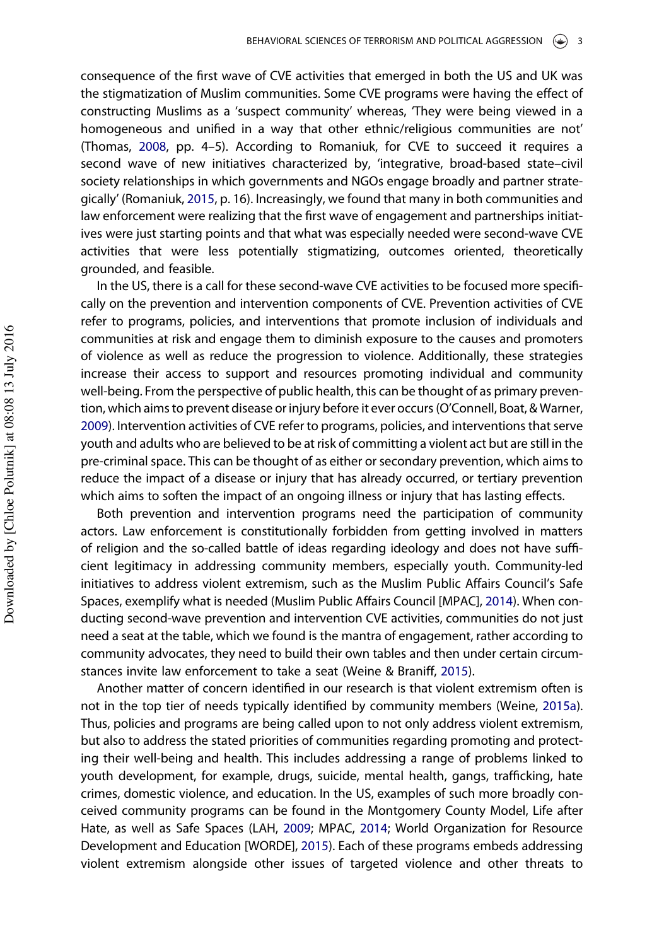<span id="page-3-0"></span>consequence of the first wave of CVE activities that emerged in both the US and UK was the stigmatization of Muslim communities. Some CVE programs were having the effect of constructing Muslims as a 'suspect community' whereas, 'They were being viewed in a homogeneous and unified in a way that other ethnic/religious communities are not' (Thomas, [2008,](#page-13-0) pp. 4–5). According to Romaniuk, for CVE to succeed it requires a second wave of new initiatives characterized by, 'integrative, broad-based state-civil society relationships in which governments and NGOs engage broadly and partner strategically' (Romaniuk, [2015](#page-13-0), p. 16). Increasingly, we found that many in both communities and law enforcement were realizing that the first wave of engagement and partnerships initiatives were just starting points and that what was especially needed were second-wave CVE activities that were less potentially stigmatizing, outcomes oriented, theoretically grounded, and feasible.

In the US, there is a call for these second-wave CVE activities to be focused more specifically on the prevention and intervention components of CVE. Prevention activities of CVE refer to programs, policies, and interventions that promote inclusion of individuals and communities at risk and engage them to diminish exposure to the causes and promoters of violence as well as reduce the progression to violence. Additionally, these strategies increase their access to support and resources promoting individual and community well-being. From the perspective of public health, this can be thought of as primary prevention, which aims to prevent disease or injury before it ever occurs (O'Connell, Boat, & Warner, [2009](#page-13-0)). Intervention activities of CVE refer to programs, policies, and interventions that serve youth and adults who are believed to be at risk of committing a violent act but are still in the pre-criminal space. This can be thought of as either or secondary prevention, which aims to reduce the impact of a disease or injury that has already occurred, or tertiary prevention which aims to soften the impact of an ongoing illness or injury that has lasting effects.

Both prevention and intervention programs need the participation of community actors. Law enforcement is constitutionally forbidden from getting involved in matters of religion and the so-called battle of ideas regarding ideology and does not have sufficient legitimacy in addressing community members, especially youth. Community-led initiatives to address violent extremism, such as the Muslim Public Affairs Council's Safe Spaces, exemplify what is needed (Muslim Public Affairs Council [MPAC], [2014](#page-13-0)). When conducting second-wave prevention and intervention CVE activities, communities do not just need a seat at the table, which we found is the mantra of engagement, rather according to community advocates, they need to build their own tables and then under certain circumstances invite law enforcement to take a seat (Weine & Braniff, [2015](#page-14-0)).

Another matter of concern identified in our research is that violent extremism often is not in the top tier of needs typically identified by community members (Weine, [2015a](#page-13-0)). Thus, policies and programs are being called upon to not only address violent extremism, but also to address the stated priorities of communities regarding promoting and protecting their well-being and health. This includes addressing a range of problems linked to youth development, for example, drugs, suicide, mental health, gangs, trafficking, hate crimes, domestic violence, and education. In the US, examples of such more broadly conceived community programs can be found in the Montgomery County Model, Life after Hate, as well as Safe Spaces (LAH, [2009](#page-12-0); MPAC, [2014](#page-13-0); World Organization for Resource Development and Education [WORDE], [2015](#page-14-0)). Each of these programs embeds addressing violent extremism alongside other issues of targeted violence and other threats to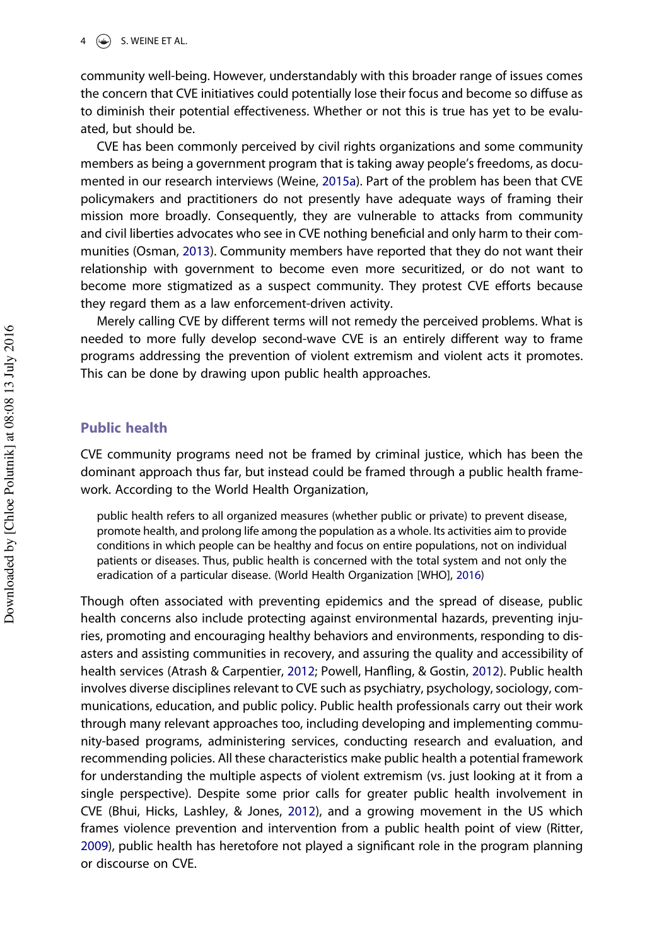#### <span id="page-4-0"></span> $4 \quad \circledast$  S. WEINE ET AL.

community well-being. However, understandably with this broader range of issues comes the concern that CVE initiatives could potentially lose their focus and become so diffuse as to diminish their potential effectiveness. Whether or not this is true has yet to be evaluated, but should be.

CVE has been commonly perceived by civil rights organizations and some community members as being a government program that is taking away people's freedoms, as documented in our research interviews (Weine, [2015a\)](#page-13-0). Part of the problem has been that CVE policymakers and practitioners do not presently have adequate ways of framing their mission more broadly. Consequently, they are vulnerable to attacks from community and civil liberties advocates who see in CVE nothing beneficial and only harm to their communities (Osman, [2013](#page-13-0)). Community members have reported that they do not want their relationship with government to become even more securitized, or do not want to become more stigmatized as a suspect community. They protest CVE efforts because they regard them as a law enforcement-driven activity.

Merely calling CVE by different terms will not remedy the perceived problems. What is needed to more fully develop second-wave CVE is an entirely different way to frame programs addressing the prevention of violent extremism and violent acts it promotes. This can be done by drawing upon public health approaches.

# Public health

CVE community programs need not be framed by criminal justice, which has been the dominant approach thus far, but instead could be framed through a public health framework. According to the World Health Organization,

public health refers to all organized measures (whether public or private) to prevent disease, promote health, and prolong life among the population as a whole. Its activities aim to provide conditions in which people can be healthy and focus on entire populations, not on individual patients or diseases. Thus, public health is concerned with the total system and not only the eradication of a particular disease. (World Health Organization [WHO], [2016](#page-14-0))

Though often associated with preventing epidemics and the spread of disease, public health concerns also include protecting against environmental hazards, preventing injuries, promoting and encouraging healthy behaviors and environments, responding to disasters and assisting communities in recovery, and assuring the quality and accessibility of health services (Atrash & Carpentier, [2012;](#page-12-0) Powell, Hanfling, & Gostin, [2012](#page-13-0)). Public health involves diverse disciplines relevant to CVE such as psychiatry, psychology, sociology, communications, education, and public policy. Public health professionals carry out their work through many relevant approaches too, including developing and implementing community-based programs, administering services, conducting research and evaluation, and recommending policies. All these characteristics make public health a potential framework for understanding the multiple aspects of violent extremism (vs. just looking at it from a single perspective). Despite some prior calls for greater public health involvement in CVE (Bhui, Hicks, Lashley, & Jones, [2012](#page-12-0)), and a growing movement in the US which frames violence prevention and intervention from a public health point of view (Ritter, [2009](#page-13-0)), public health has heretofore not played a significant role in the program planning or discourse on CVE.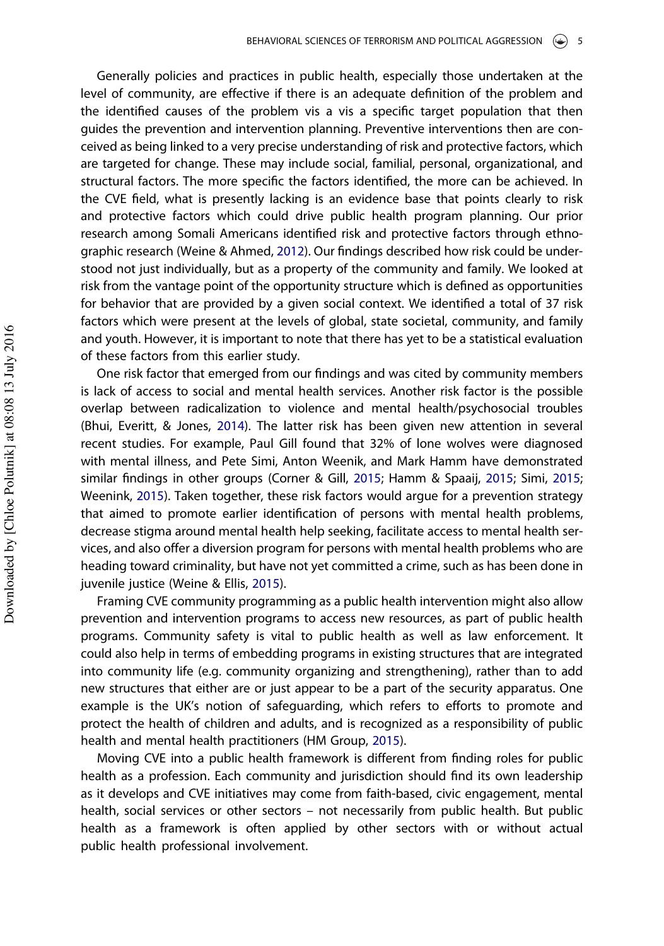<span id="page-5-0"></span>Generally policies and practices in public health, especially those undertaken at the level of community, are effective if there is an adequate definition of the problem and the identified causes of the problem vis a vis a specific target population that then guides the prevention and intervention planning. Preventive interventions then are conceived as being linked to a very precise understanding of risk and protective factors, which are targeted for change. These may include social, familial, personal, organizational, and structural factors. The more specific the factors identified, the more can be achieved. In the CVE field, what is presently lacking is an evidence base that points clearly to risk and protective factors which could drive public health program planning. Our prior research among Somali Americans identified risk and protective factors through ethnographic research (Weine & Ahmed, [2012](#page-14-0)). Our findings described how risk could be understood not just individually, but as a property of the community and family. We looked at risk from the vantage point of the opportunity structure which is defined as opportunities for behavior that are provided by a given social context. We identified a total of 37 risk factors which were present at the levels of global, state societal, community, and family and youth. However, it is important to note that there has yet to be a statistical evaluation of these factors from this earlier study.

One risk factor that emerged from our findings and was cited by community members is lack of access to social and mental health services. Another risk factor is the possible overlap between radicalization to violence and mental health/psychosocial troubles (Bhui, Everitt, & Jones, [2014\)](#page-12-0). The latter risk has been given new attention in several recent studies. For example, Paul Gill found that 32% of lone wolves were diagnosed with mental illness, and Pete Simi, Anton Weenik, and Mark Hamm have demonstrated similar findings in other groups (Corner & Gill, [2015](#page-12-0); Hamm & Spaaij, [2015](#page-12-0); Simi, [2015](#page-13-0); Weenink, [2015\)](#page-13-0). Taken together, these risk factors would argue for a prevention strategy that aimed to promote earlier identification of persons with mental health problems, decrease stigma around mental health help seeking, facilitate access to mental health services, and also offer a diversion program for persons with mental health problems who are heading toward criminality, but have not yet committed a crime, such as has been done in juvenile justice (Weine & Ellis, [2015\)](#page-14-0).

Framing CVE community programming as a public health intervention might also allow prevention and intervention programs to access new resources, as part of public health programs. Community safety is vital to public health as well as law enforcement. It could also help in terms of embedding programs in existing structures that are integrated into community life (e.g. community organizing and strengthening), rather than to add new structures that either are or just appear to be a part of the security apparatus. One example is the UK's notion of safeguarding, which refers to efforts to promote and protect the health of children and adults, and is recognized as a responsibility of public health and mental health practitioners (HM Group, [2015](#page-12-0)).

Moving CVE into a public health framework is different from finding roles for public health as a profession. Each community and jurisdiction should find its own leadership as it develops and CVE initiatives may come from faith-based, civic engagement, mental health, social services or other sectors – not necessarily from public health. But public health as a framework is often applied by other sectors with or without actual public health professional involvement.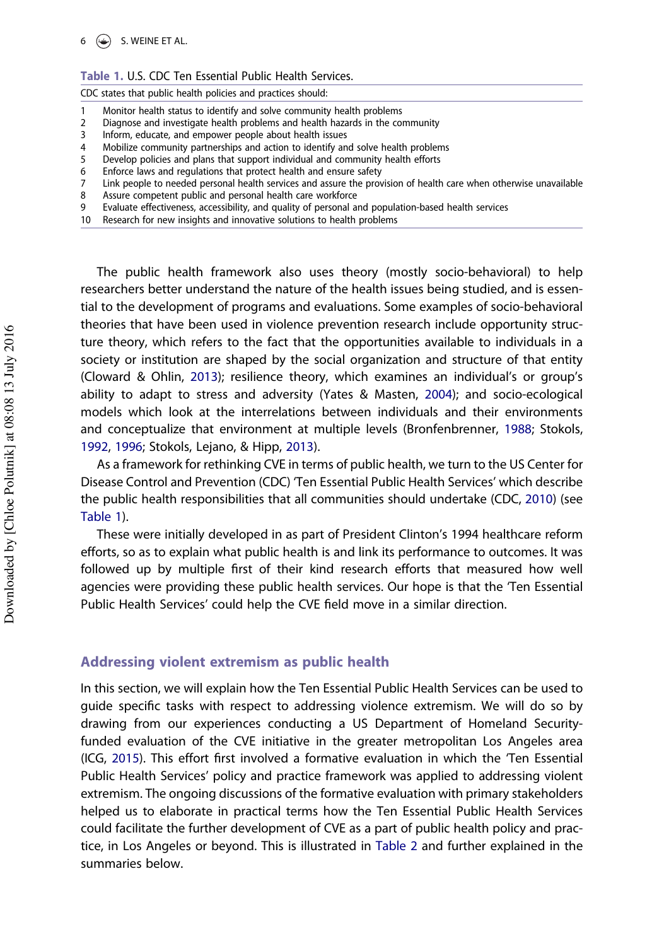<span id="page-6-0"></span> $6 \quad \circled{\bigodot}$  S. WEINE ET AL.

#### Table 1. U.S. CDC Ten Essential Public Health Services.

CDC states that public health policies and practices should:

- 1 Monitor health status to identify and solve community health problems
- 2 Diagnose and investigate health problems and health hazards in the community
- 3 Inform, educate, and empower people about health issues
- 4 Mobilize community partnerships and action to identify and solve health problems
- 5 Develop policies and plans that support individual and community health efforts
- 6 Enforce laws and regulations that protect health and ensure safety
- 7 Link people to needed personal health services and assure the provision of health care when otherwise unavailable
- 8 Assure competent public and personal health care workforce
- 9 Evaluate effectiveness, accessibility, and quality of personal and population-based health services
- 10 Research for new insights and innovative solutions to health problems

The public health framework also uses theory (mostly socio-behavioral) to help researchers better understand the nature of the health issues being studied, and is essential to the development of programs and evaluations. Some examples of socio-behavioral theories that have been used in violence prevention research include opportunity structure theory, which refers to the fact that the opportunities available to individuals in a society or institution are shaped by the social organization and structure of that entity (Cloward & Ohlin, [2013\)](#page-12-0); resilience theory, which examines an individual's or group's ability to adapt to stress and adversity (Yates & Masten, [2004](#page-14-0)); and socio-ecological models which look at the interrelations between individuals and their environments and conceptualize that environment at multiple levels (Bronfenbrenner, [1988](#page-12-0); Stokols, [1992](#page-13-0), [1996;](#page-13-0) Stokols, Lejano, & Hipp, [2013](#page-13-0)).

As a framework for rethinking CVE in terms of public health, we turn to the US Center for Disease Control and Prevention (CDC) 'Ten Essential Public Health Services' which describe the public health responsibilities that all communities should undertake (CDC, [2010\)](#page-12-0) (see Table 1).

These were initially developed in as part of President Clinton's 1994 healthcare reform efforts, so as to explain what public health is and link its performance to outcomes. It was followed up by multiple first of their kind research efforts that measured how well agencies were providing these public health services. Our hope is that the 'Ten Essential Public Health Services' could help the CVE field move in a similar direction.

#### Addressing violent extremism as public health

In this section, we will explain how the Ten Essential Public Health Services can be used to guide specific tasks with respect to addressing violence extremism. We will do so by drawing from our experiences conducting a US Department of Homeland Securityfunded evaluation of the CVE initiative in the greater metropolitan Los Angeles area (ICG, [2015\)](#page-12-0). This effort first involved a formative evaluation in which the 'Ten Essential Public Health Services' policy and practice framework was applied to addressing violent extremism. The ongoing discussions of the formative evaluation with primary stakeholders helped us to elaborate in practical terms how the Ten Essential Public Health Services could facilitate the further development of CVE as a part of public health policy and practice, in Los Angeles or beyond. This is illustrated in [Table 2](#page-7-0) and further explained in the summaries below.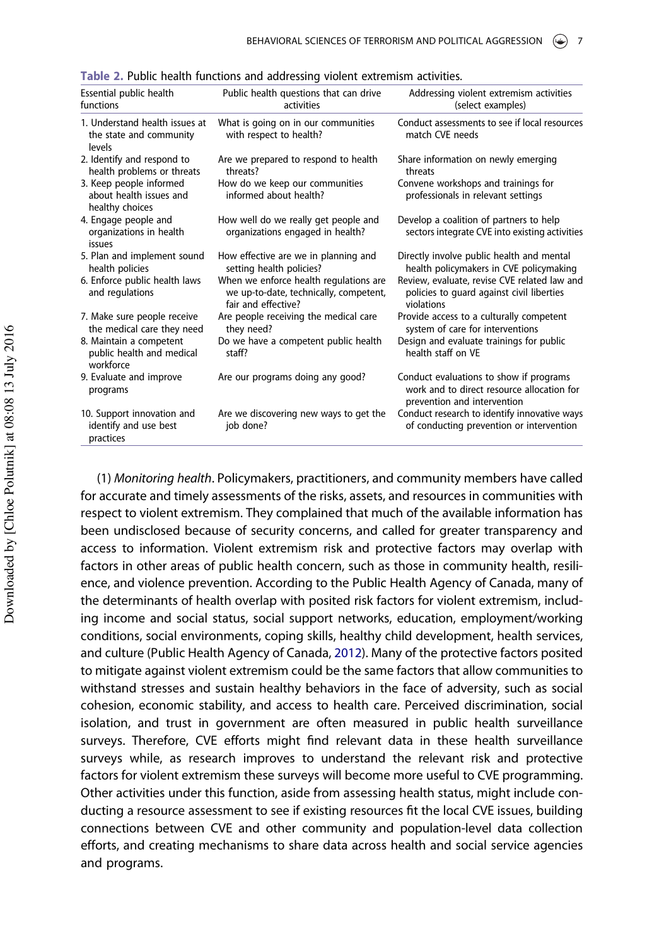| Public health questions that can drive | Addressing violent extremism activities                                                                              |
|----------------------------------------|----------------------------------------------------------------------------------------------------------------------|
| activities                             | (select examples)                                                                                                    |
| What is going on in our communities    | Conduct assessments to see if local resources                                                                        |
| with respect to health?                | match CVE needs                                                                                                      |
| Are we prepared to respond to health   | Share information on newly emerging                                                                                  |
| threats?                               | threats                                                                                                              |
| How do we keep our communities         | Convene workshops and trainings for                                                                                  |
| informed about health?                 | professionals in relevant settings                                                                                   |
| How well do we really get people and   | Develop a coalition of partners to help                                                                              |
| organizations engaged in health?       | sectors integrate CVE into existing activities                                                                       |
| How effective are we in planning and   | Directly involve public health and mental                                                                            |
| setting health policies?               | health policymakers in CVE policymaking                                                                              |
| When we enforce health regulations are | Review, evaluate, revise CVE related law and                                                                         |
| we up-to-date, technically, competent, | policies to quard against civil liberties                                                                            |
| fair and effective?                    | violations                                                                                                           |
| Are people receiving the medical care  | Provide access to a culturally competent                                                                             |
| they need?                             | system of care for interventions                                                                                     |
| Do we have a competent public health   | Design and evaluate trainings for public                                                                             |
| staff?                                 | health staff on VE                                                                                                   |
| Are our programs doing any good?       | Conduct evaluations to show if programs<br>work and to direct resource allocation for<br>prevention and intervention |
| Are we discovering new ways to get the | Conduct research to identify innovative ways                                                                         |
| job done?                              | of conducting prevention or intervention                                                                             |
|                                        |                                                                                                                      |

<span id="page-7-0"></span>Table 2. Public health functions and addressing violent extremism activities.

(1) Monitoring health. Policymakers, practitioners, and community members have called for accurate and timely assessments of the risks, assets, and resources in communities with respect to violent extremism. They complained that much of the available information has been undisclosed because of security concerns, and called for greater transparency and access to information. Violent extremism risk and protective factors may overlap with factors in other areas of public health concern, such as those in community health, resilience, and violence prevention. According to the Public Health Agency of Canada, many of the determinants of health overlap with posited risk factors for violent extremism, including income and social status, social support networks, education, employment/working conditions, social environments, coping skills, healthy child development, health services, and culture (Public Health Agency of Canada, [2012\)](#page-13-0). Many of the protective factors posited to mitigate against violent extremism could be the same factors that allow communities to withstand stresses and sustain healthy behaviors in the face of adversity, such as social cohesion, economic stability, and access to health care. Perceived discrimination, social isolation, and trust in government are often measured in public health surveillance surveys. Therefore, CVE efforts might find relevant data in these health surveillance surveys while, as research improves to understand the relevant risk and protective factors for violent extremism these surveys will become more useful to CVE programming. Other activities under this function, aside from assessing health status, might include conducting a resource assessment to see if existing resources fit the local CVE issues, building connections between CVE and other community and population-level data collection efforts, and creating mechanisms to share data across health and social service agencies and programs.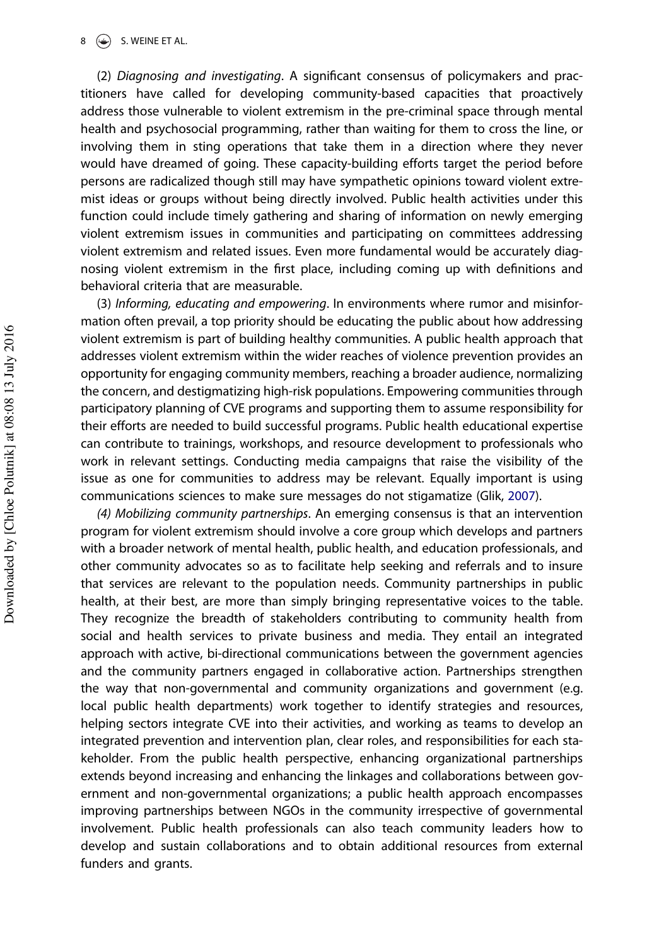<span id="page-8-0"></span> $\circledast$  S. WEINE ET AL.

(2) Diagnosing and investigating. A significant consensus of policymakers and practitioners have called for developing community-based capacities that proactively address those vulnerable to violent extremism in the pre-criminal space through mental health and psychosocial programming, rather than waiting for them to cross the line, or involving them in sting operations that take them in a direction where they never would have dreamed of going. These capacity-building efforts target the period before persons are radicalized though still may have sympathetic opinions toward violent extremist ideas or groups without being directly involved. Public health activities under this function could include timely gathering and sharing of information on newly emerging violent extremism issues in communities and participating on committees addressing violent extremism and related issues. Even more fundamental would be accurately diagnosing violent extremism in the first place, including coming up with definitions and behavioral criteria that are measurable.

(3) Informing, educating and empowering. In environments where rumor and misinformation often prevail, a top priority should be educating the public about how addressing violent extremism is part of building healthy communities. A public health approach that addresses violent extremism within the wider reaches of violence prevention provides an opportunity for engaging community members, reaching a broader audience, normalizing the concern, and destigmatizing high-risk populations. Empowering communities through participatory planning of CVE programs and supporting them to assume responsibility for their efforts are needed to build successful programs. Public health educational expertise can contribute to trainings, workshops, and resource development to professionals who work in relevant settings. Conducting media campaigns that raise the visibility of the issue as one for communities to address may be relevant. Equally important is using communications sciences to make sure messages do not stigamatize (Glik, [2007\)](#page-12-0).

(4) Mobilizing community partnerships. An emerging consensus is that an intervention program for violent extremism should involve a core group which develops and partners with a broader network of mental health, public health, and education professionals, and other community advocates so as to facilitate help seeking and referrals and to insure that services are relevant to the population needs. Community partnerships in public health, at their best, are more than simply bringing representative voices to the table. They recognize the breadth of stakeholders contributing to community health from social and health services to private business and media. They entail an integrated approach with active, bi-directional communications between the government agencies and the community partners engaged in collaborative action. Partnerships strengthen the way that non-governmental and community organizations and government (e.g. local public health departments) work together to identify strategies and resources, helping sectors integrate CVE into their activities, and working as teams to develop an integrated prevention and intervention plan, clear roles, and responsibilities for each stakeholder. From the public health perspective, enhancing organizational partnerships extends beyond increasing and enhancing the linkages and collaborations between government and non-governmental organizations; a public health approach encompasses improving partnerships between NGOs in the community irrespective of governmental involvement. Public health professionals can also teach community leaders how to develop and sustain collaborations and to obtain additional resources from external funders and grants.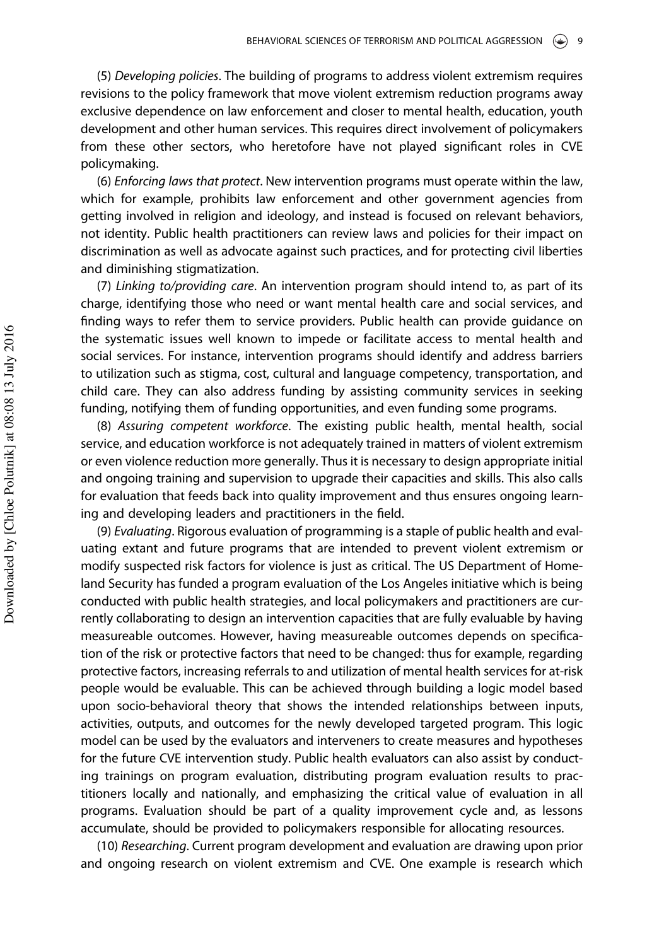(5) Developing policies. The building of programs to address violent extremism requires revisions to the policy framework that move violent extremism reduction programs away exclusive dependence on law enforcement and closer to mental health, education, youth development and other human services. This requires direct involvement of policymakers from these other sectors, who heretofore have not played significant roles in CVE policymaking.

(6) Enforcing laws that protect. New intervention programs must operate within the law, which for example, prohibits law enforcement and other government agencies from getting involved in religion and ideology, and instead is focused on relevant behaviors, not identity. Public health practitioners can review laws and policies for their impact on discrimination as well as advocate against such practices, and for protecting civil liberties and diminishing stigmatization.

(7) Linking to/providing care. An intervention program should intend to, as part of its charge, identifying those who need or want mental health care and social services, and finding ways to refer them to service providers. Public health can provide guidance on the systematic issues well known to impede or facilitate access to mental health and social services. For instance, intervention programs should identify and address barriers to utilization such as stigma, cost, cultural and language competency, transportation, and child care. They can also address funding by assisting community services in seeking funding, notifying them of funding opportunities, and even funding some programs.

(8) Assuring competent workforce. The existing public health, mental health, social service, and education workforce is not adequately trained in matters of violent extremism or even violence reduction more generally. Thus it is necessary to design appropriate initial and ongoing training and supervision to upgrade their capacities and skills. This also calls for evaluation that feeds back into quality improvement and thus ensures ongoing learning and developing leaders and practitioners in the field.

(9) Evaluating. Rigorous evaluation of programming is a staple of public health and evaluating extant and future programs that are intended to prevent violent extremism or modify suspected risk factors for violence is just as critical. The US Department of Homeland Security has funded a program evaluation of the Los Angeles initiative which is being conducted with public health strategies, and local policymakers and practitioners are currently collaborating to design an intervention capacities that are fully evaluable by having measureable outcomes. However, having measureable outcomes depends on specification of the risk or protective factors that need to be changed: thus for example, regarding protective factors, increasing referrals to and utilization of mental health services for at-risk people would be evaluable. This can be achieved through building a logic model based upon socio-behavioral theory that shows the intended relationships between inputs, activities, outputs, and outcomes for the newly developed targeted program. This logic model can be used by the evaluators and interveners to create measures and hypotheses for the future CVE intervention study. Public health evaluators can also assist by conducting trainings on program evaluation, distributing program evaluation results to practitioners locally and nationally, and emphasizing the critical value of evaluation in all programs. Evaluation should be part of a quality improvement cycle and, as lessons accumulate, should be provided to policymakers responsible for allocating resources.

(10) Researching. Current program development and evaluation are drawing upon prior and ongoing research on violent extremism and CVE. One example is research which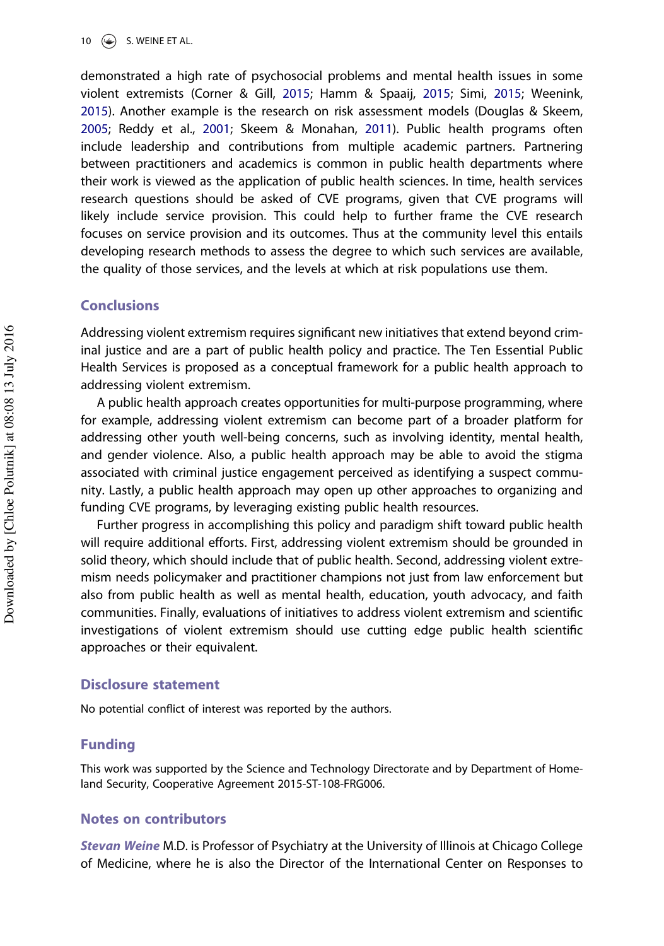<span id="page-10-0"></span>10  $\left(\frac{1}{2}\right)$  S. WEINE ET AL.

demonstrated a high rate of psychosocial problems and mental health issues in some violent extremists (Corner & Gill, [2015;](#page-12-0) Hamm & Spaaij, [2015;](#page-12-0) Simi, [2015](#page-13-0); Weenink, [2015](#page-13-0)). Another example is the research on risk assessment models (Douglas & Skeem, [2005](#page-12-0); Reddy et al., [2001](#page-13-0); Skeem & Monahan, [2011\)](#page-13-0). Public health programs often include leadership and contributions from multiple academic partners. Partnering between practitioners and academics is common in public health departments where their work is viewed as the application of public health sciences. In time, health services research questions should be asked of CVE programs, given that CVE programs will likely include service provision. This could help to further frame the CVE research focuses on service provision and its outcomes. Thus at the community level this entails developing research methods to assess the degree to which such services are available, the quality of those services, and the levels at which at risk populations use them.

#### Conclusions

Addressing violent extremism requires significant new initiatives that extend beyond criminal justice and are a part of public health policy and practice. The Ten Essential Public Health Services is proposed as a conceptual framework for a public health approach to addressing violent extremism.

A public health approach creates opportunities for multi-purpose programming, where for example, addressing violent extremism can become part of a broader platform for addressing other youth well-being concerns, such as involving identity, mental health, and gender violence. Also, a public health approach may be able to avoid the stigma associated with criminal justice engagement perceived as identifying a suspect community. Lastly, a public health approach may open up other approaches to organizing and funding CVE programs, by leveraging existing public health resources.

Further progress in accomplishing this policy and paradigm shift toward public health will require additional efforts. First, addressing violent extremism should be grounded in solid theory, which should include that of public health. Second, addressing violent extremism needs policymaker and practitioner champions not just from law enforcement but also from public health as well as mental health, education, youth advocacy, and faith communities. Finally, evaluations of initiatives to address violent extremism and scientific investigations of violent extremism should use cutting edge public health scientific approaches or their equivalent.

#### Disclosure statement

No potential conflict of interest was reported by the authors.

## Funding

This work was supported by the Science and Technology Directorate and by Department of Homeland Security, Cooperative Agreement 2015-ST-108-FRG006.

#### Notes on contributors

Stevan Weine M.D. is Professor of Psychiatry at the University of Illinois at Chicago College of Medicine, where he is also the Director of the International Center on Responses to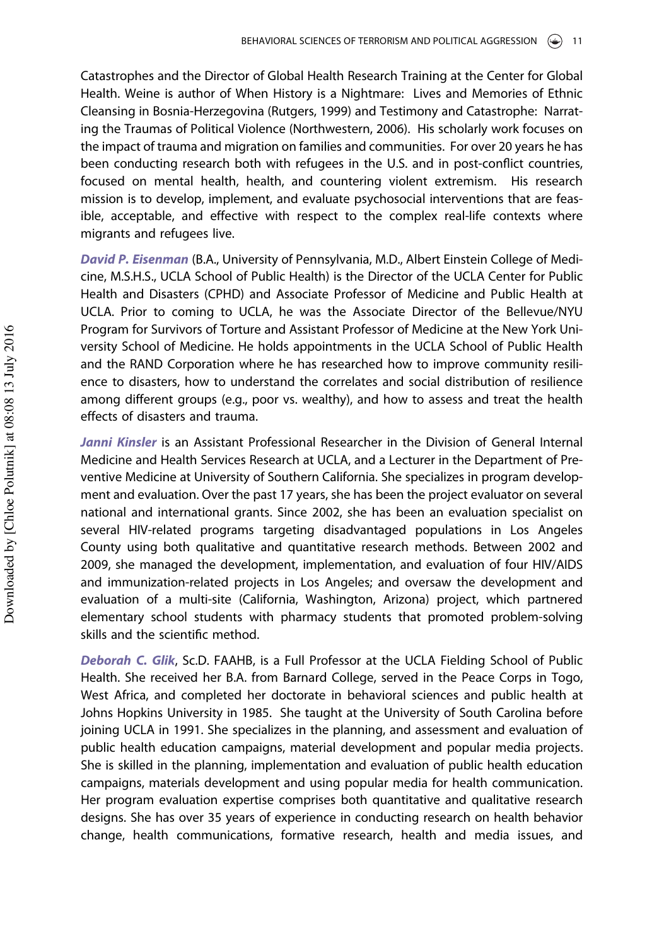Catastrophes and the Director of Global Health Research Training at the Center for Global Health. Weine is author of When History is a Nightmare: Lives and Memories of Ethnic Cleansing in Bosnia-Herzegovina (Rutgers, 1999) and Testimony and Catastrophe: Narrating the Traumas of Political Violence (Northwestern, 2006). His scholarly work focuses on the impact of trauma and migration on families and communities. For over 20 years he has been conducting research both with refugees in the U.S. and in post-conflict countries, focused on mental health, health, and countering violent extremism. His research mission is to develop, implement, and evaluate psychosocial interventions that are feasible, acceptable, and effective with respect to the complex real-life contexts where migrants and refugees live.

David P. Eisenman (B.A., University of Pennsylvania, M.D., Albert Einstein College of Medicine, M.S.H.S., UCLA School of Public Health) is the Director of the UCLA Center for Public Health and Disasters (CPHD) and Associate Professor of Medicine and Public Health at UCLA. Prior to coming to UCLA, he was the Associate Director of the Bellevue/NYU Program for Survivors of Torture and Assistant Professor of Medicine at the New York University School of Medicine. He holds appointments in the UCLA School of Public Health and the RAND Corporation where he has researched how to improve community resilience to disasters, how to understand the correlates and social distribution of resilience among different groups (e.g., poor vs. wealthy), and how to assess and treat the health effects of disasters and trauma.

Janni Kinsler is an Assistant Professional Researcher in the Division of General Internal Medicine and Health Services Research at UCLA, and a Lecturer in the Department of Preventive Medicine at University of Southern California. She specializes in program development and evaluation. Over the past 17 years, she has been the project evaluator on several national and international grants. Since 2002, she has been an evaluation specialist on several HIV-related programs targeting disadvantaged populations in Los Angeles County using both qualitative and quantitative research methods. Between 2002 and 2009, she managed the development, implementation, and evaluation of four HIV/AIDS and immunization-related projects in Los Angeles; and oversaw the development and evaluation of a multi-site (California, Washington, Arizona) project, which partnered elementary school students with pharmacy students that promoted problem-solving skills and the scientific method.

Deborah C. Glik, Sc.D. FAAHB, is a Full Professor at the UCLA Fielding School of Public Health. She received her B.A. from Barnard College, served in the Peace Corps in Togo, West Africa, and completed her doctorate in behavioral sciences and public health at Johns Hopkins University in 1985. She taught at the University of South Carolina before joining UCLA in 1991. She specializes in the planning, and assessment and evaluation of public health education campaigns, material development and popular media projects. She is skilled in the planning, implementation and evaluation of public health education campaigns, materials development and using popular media for health communication. Her program evaluation expertise comprises both quantitative and qualitative research designs. She has over 35 years of experience in conducting research on health behavior change, health communications, formative research, health and media issues, and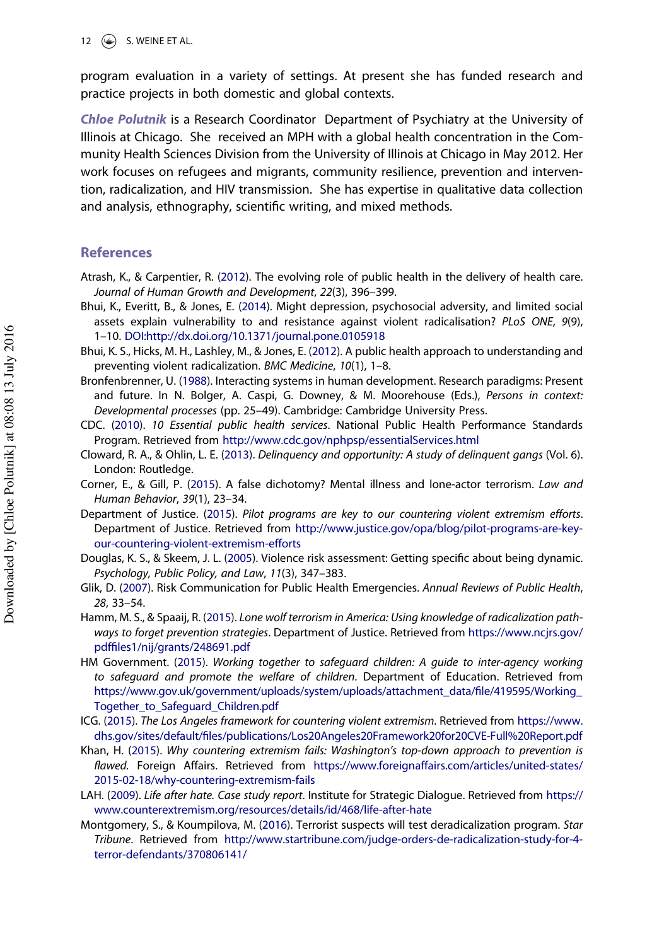<span id="page-12-0"></span>program evaluation in a variety of settings. At present she has funded research and practice projects in both domestic and global contexts.

Chloe Polutnik is a Research Coordinator Department of Psychiatry at the University of Illinois at Chicago. She received an MPH with a global health concentration in the Community Health Sciences Division from the University of Illinois at Chicago in May 2012. Her work focuses on refugees and migrants, community resilience, prevention and intervention, radicalization, and HIV transmission. She has expertise in qualitative data collection and analysis, ethnography, scientific writing, and mixed methods.

# **References**

- Atrash, K., & Carpentier, R. [\(2012](#page-4-0)). The evolving role of public health in the delivery of health care. Journal of Human Growth and Development, 22(3), 396–399.
- Bhui, K., Everitt, B., & Jones, E. ([2014](#page-5-0)). Might depression, psychosocial adversity, and limited social assets explain vulnerability to and resistance against violent radicalisation? PLoS ONE, 9(9), 1–10. [DOI:http://dx.doi.org/10.1371/journal.pone.0105918](http://dx.doi.org/10.1371/journal.pone.0105918)
- Bhui, K. S., Hicks, M. H., Lashley, M., & Jones, E. ([2012](#page-4-0)). A public health approach to understanding and preventing violent radicalization. BMC Medicine, 10(1), 1–8.
- Bronfenbrenner, U. [\(1988\)](#page-6-0). Interacting systems in human development. Research paradigms: Present and future. In N. Bolger, A. Caspi, G. Downey, & M. Moorehouse (Eds.), Persons in context: Developmental processes (pp. 25–49). Cambridge: Cambridge University Press.
- CDC. [\(2010\)](#page-6-0). 10 Essential public health services. National Public Health Performance Standards Program. Retrieved from <http://www.cdc.gov/nphpsp/essentialServices.html>
- Cloward, R. A., & Ohlin, L. E. ([2013](#page-6-0)). Delinquency and opportunity: A study of delinquent gangs (Vol. 6). London: Routledge.
- Corner, E., & Gill, P. ([2015\)](#page-5-0). A false dichotomy? Mental illness and lone-actor terrorism. Law and Human Behavior, 39(1), 23–34.
- Department of Justice. ([2015](#page-2-0)). Pilot programs are key to our countering violent extremism efforts. Department of Justice. Retrieved from [http://www.justice.gov/opa/blog/pilot-programs-are-key](http://www.justice.gov/opa/blog/pilot-programs-are-key-our-countering-violent-extremism-efforts)[our-countering-violent-extremism-efforts](http://www.justice.gov/opa/blog/pilot-programs-are-key-our-countering-violent-extremism-efforts)
- Douglas, K. S., & Skeem, J. L. [\(2005](#page-10-0)). Violence risk assessment: Getting specific about being dynamic. Psychology, Public Policy, and Law, 11(3), 347–383.
- Glik, D. [\(2007\)](#page-8-0). Risk Communication for Public Health Emergencies. Annual Reviews of Public Health, 28, 33–54.
- Hamm, M. S., & Spaaij, R. [\(2015\)](#page-5-0). Lone wolf terrorism in America: Using knowledge of radicalization pathways to forget prevention strategies. Department of Justice. Retrieved from [https://www.ncjrs.gov/](https://www.ncjrs.gov/pdffiles1/nij/grants/248691.pdf) pdffi[les1/nij/grants/248691.pdf](https://www.ncjrs.gov/pdffiles1/nij/grants/248691.pdf)
- HM Government. ([2015](#page-5-0)). Working together to safeguard children: A guide to inter-agency working to safeguard and promote the welfare of children. Department of Education. Retrieved from [https://www.gov.uk/government/uploads/system/uploads/attachment\\_data/](https://www.gov.uk/government/uploads/system/uploads/attachment_data/file/419595/Working_Together_to_Safeguard_Children.pdf)file/419595/Working\_ [Together\\_to\\_Safeguard\\_Children.pdf](https://www.gov.uk/government/uploads/system/uploads/attachment_data/file/419595/Working_Together_to_Safeguard_Children.pdf)
- ICG. ([2015\)](#page-6-0). The Los Angeles framework for countering violent extremism. Retrieved from [https://www.](https://www.dhs.gov/sites/default/files/publications/Los20Angeles20Framework20for20CVE-Full%20Report.pdf) dhs.gov/sites/default/fi[les/publications/Los20Angeles20Framework20for20CVE-Full%20Report.pdf](https://www.dhs.gov/sites/default/files/publications/Los20Angeles20Framework20for20CVE-Full%20Report.pdf)
- Khan, H. ([2015](#page-1-0)). Why countering extremism fails: Washington's top-down approach to prevention is flawed. Foreign Affairs. Retrieved from [https://www.foreignaffairs.com/articles/united-states/](https://www.foreignaffairs.com/articles/united-states/2015-02-18/why-countering-extremism-fails) [2015-02-18/why-countering-extremism-fails](https://www.foreignaffairs.com/articles/united-states/2015-02-18/why-countering-extremism-fails)
- LAH. [\(2009\)](#page-3-0). Life after hate. Case study report. Institute for Strategic Dialogue. Retrieved from [https://](https://www.counterextremism.org/resources/details/id/468/life-after-hate) [www.counterextremism.org/resources/details/id/468/life-after-hate](https://www.counterextremism.org/resources/details/id/468/life-after-hate)
- Montgomery, S., & Koumpilova, M. ([2016](#page-2-0)). Terrorist suspects will test deradicalization program. Star Tribune. Retrieved from [http://www.startribune.com/judge-orders-de-radicalization-study-for-4](http://www.startribune.com/judge-orders-de-radicalization-study-for-4-terror-defendants/370806141/) [terror-defendants/370806141/](http://www.startribune.com/judge-orders-de-radicalization-study-for-4-terror-defendants/370806141/)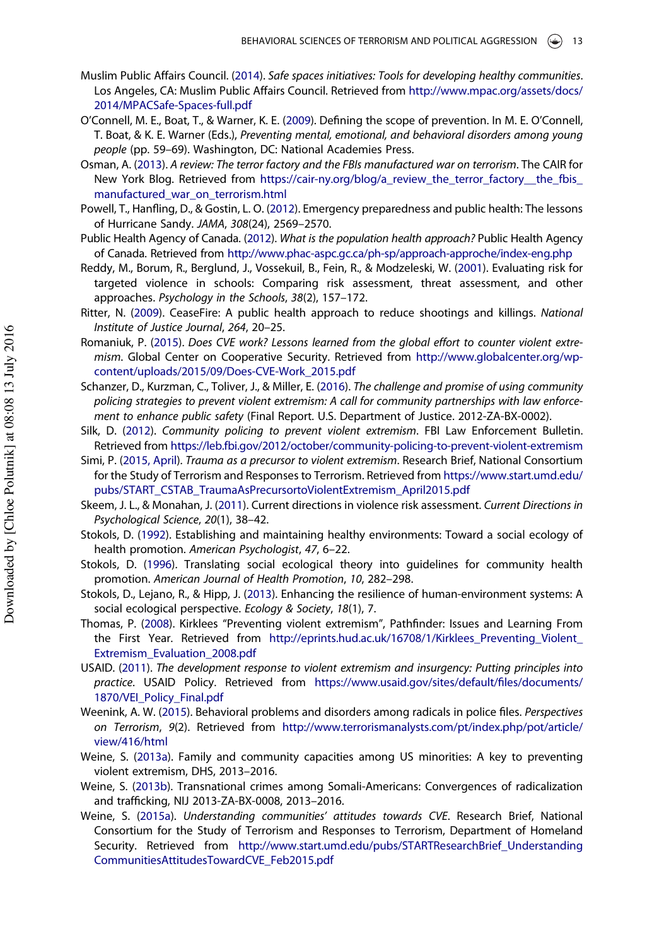- <span id="page-13-0"></span>Muslim Public Affairs Council. ([2014\)](#page-3-0). Safe spaces initiatives: Tools for developing healthy communities. Los Angeles, CA: Muslim Public Affairs Council. Retrieved from [http://www.mpac.org/assets/docs/](http://www.mpac.org/assets/docs/2014/MPACSafe-Spaces-full.pdf) [2014/MPACSafe-Spaces-full.pdf](http://www.mpac.org/assets/docs/2014/MPACSafe-Spaces-full.pdf)
- O'Connell, M. E., Boat, T., & Warner, K. E. ([2009\)](#page-3-0). Defining the scope of prevention. In M. E. O'Connell, T. Boat, & K. E. Warner (Eds.), Preventing mental, emotional, and behavioral disorders among young people (pp. 59–69). Washington, DC: National Academies Press.
- Osman, A. [\(2013](#page-4-0)). A review: The terror factory and the FBIs manufactured war on terrorism. The CAIR for New York Blog. Retrieved from [https://cair-ny.org/blog/a\\_review\\_the\\_terror\\_factory\\_\\_the\\_fbis\\_](https://cair-ny.org/blog/a_review_the_terror_factory__the_fbis_manufactured_war_on_terrorism.html) [manufactured\\_war\\_on\\_terrorism.html](https://cair-ny.org/blog/a_review_the_terror_factory__the_fbis_manufactured_war_on_terrorism.html)
- Powell, T., Hanfling, D., & Gostin, L. O. ([2012\)](#page-4-0). Emergency preparedness and public health: The lessons of Hurricane Sandy. JAMA, 308(24), 2569–2570.
- Public Health Agency of Canada. ([2012\)](#page-7-0). What is the population health approach? Public Health Agency of Canada. Retrieved from <http://www.phac-aspc.gc.ca/ph-sp/approach-approche/index-eng.php>
- Reddy, M., Borum, R., Berglund, J., Vossekuil, B., Fein, R., & Modzeleski, W. [\(2001\)](#page-10-0). Evaluating risk for targeted violence in schools: Comparing risk assessment, threat assessment, and other approaches. Psychology in the Schools, 38(2), 157–172.
- Ritter, N. ([2009](#page-4-0)). CeaseFire: A public health approach to reduce shootings and killings. National Institute of Justice Journal, 264, 20–25.
- Romaniuk, P. [\(2015\)](#page-2-0). Does CVE work? Lessons learned from the global effort to counter violent extremism. Global Center on Cooperative Security. Retrieved from [http://www.globalcenter.org/wp](http://www.globalcenter.org/wp-content/uploads/2015/09/Does-CVE-Work_2015.pdf)[content/uploads/2015/09/Does-CVE-Work\\_2015.pdf](http://www.globalcenter.org/wp-content/uploads/2015/09/Does-CVE-Work_2015.pdf)
- Schanzer, D., Kurzman, C., Toliver, J., & Miller, E. ([2016](#page-2-0)). The challenge and promise of using community policing strategies to prevent violent extremism: A call for community partnerships with law enforcement to enhance public safety (Final Report. U.S. Department of Justice. 2012-ZA-BX-0002).
- Silk, D. [\(2012\)](#page-2-0). Community policing to prevent violent extremism. FBI Law Enforcement Bulletin. Retrieved from <https://leb.fbi.gov/2012/october/community-policing-to-prevent-violent-extremism>
- Simi, P. [\(2015, April](#page-5-0)). Trauma as a precursor to violent extremism. Research Brief, National Consortium for the Study of Terrorism and Responses to Terrorism. Retrieved from [https://www.start.umd.edu/](https://www.start.umd.edu/pubs/START_CSTAB_TraumaAsPrecursortoViolentExtremism_April2015.pdf) [pubs/START\\_CSTAB\\_TraumaAsPrecursortoViolentExtremism\\_April2015.pdf](https://www.start.umd.edu/pubs/START_CSTAB_TraumaAsPrecursortoViolentExtremism_April2015.pdf)
- Skeem, J. L., & Monahan, J. [\(2011\)](#page-10-0). Current directions in violence risk assessment. Current Directions in Psychological Science, 20(1), 38–42.
- Stokols, D. ([1992](#page-6-0)). Establishing and maintaining healthy environments: Toward a social ecology of health promotion. American Psychologist, 47, 6–22.
- Stokols, D. [\(1996\)](#page-6-0). Translating social ecological theory into guidelines for community health promotion. American Journal of Health Promotion, 10, 282–298.
- Stokols, D., Lejano, R., & Hipp, J. ([2013](#page-6-0)). Enhancing the resilience of human-environment systems: A social ecological perspective. Ecology & Society, 18(1), 7.
- Thomas, P. [\(2008\)](#page-3-0). Kirklees "Preventing violent extremism", Pathfinder: Issues and Learning From the First Year. Retrieved from [http://eprints.hud.ac.uk/16708/1/Kirklees\\_Preventing\\_Violent\\_](http://eprints.hud.ac.uk/16708/1/Kirklees_Preventing_Violent_Extremism_Evaluation_2008.pdf) [Extremism\\_Evaluation\\_2008.pdf](http://eprints.hud.ac.uk/16708/1/Kirklees_Preventing_Violent_Extremism_Evaluation_2008.pdf)
- USAID. ([2011](#page-1-0)). The development response to violent extremism and insurgency: Putting principles into practice. USAID Policy. Retrieved from [https://www.usaid.gov/sites/default/](https://www.usaid.gov/sites/default/files/documents/1870/VEI_Policy_Final.pdf)files/documents/ [1870/VEI\\_Policy\\_Final.pdf](https://www.usaid.gov/sites/default/files/documents/1870/VEI_Policy_Final.pdf)
- Weenink, A. W. [\(2015\)](#page-5-0). Behavioral problems and disorders among radicals in police files. Perspectives on Terrorism, 9(2). Retrieved from [http://www.terrorismanalysts.com/pt/index.php/pot/article/](http://www.terrorismanalysts.com/pt/index.php/pot/article/view/416/html) [view/416/html](http://www.terrorismanalysts.com/pt/index.php/pot/article/view/416/html)
- Weine, S. ([2013a](#page-2-0)). Family and community capacities among US minorities: A key to preventing violent extremism, DHS, 2013–2016.
- Weine, S. ([2013b](#page-2-0)). Transnational crimes among Somali-Americans: Convergences of radicalization and trafficking, NIJ 2013-ZA-BX-0008, 2013–2016.
- Weine, S. [\(2015a\)](#page-2-0). Understanding communities' attitudes towards CVE. Research Brief, National Consortium for the Study of Terrorism and Responses to Terrorism, Department of Homeland Security. Retrieved from [http://www.start.umd.edu/pubs/STARTResearchBrief\\_Understanding](http://www.start.umd.edu/pubs/STARTResearchBrief_UnderstandingCommunitiesAttitudesTowardCVE_Feb2015.pdf) [CommunitiesAttitudesTowardCVE\\_Feb2015.pdf](http://www.start.umd.edu/pubs/STARTResearchBrief_UnderstandingCommunitiesAttitudesTowardCVE_Feb2015.pdf)